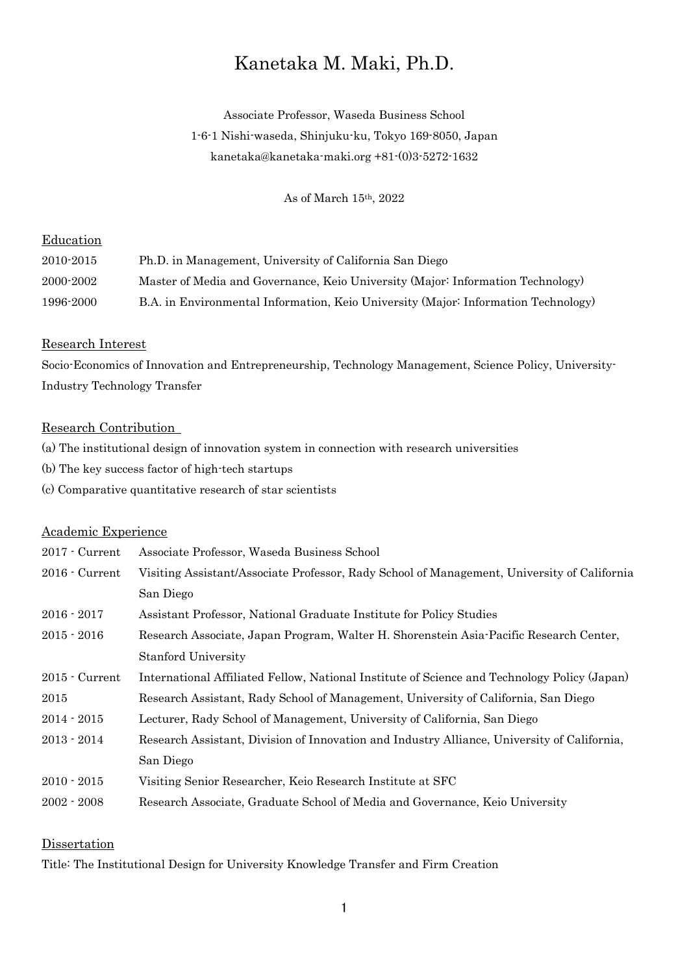# Kanetaka M. Maki, Ph.D.

Associate Professor, Waseda Business School 1-6-1 Nishi-waseda, Shinjuku-ku, Tokyo 169-8050, Japan kanetaka@kanetaka-maki.org +81-(0)3-5272-1632

As of March 15th, 2022

# Education

| 2010-2015 | Ph.D. in Management, University of California San Diego                            |
|-----------|------------------------------------------------------------------------------------|
| 2000-2002 | Master of Media and Governance, Keio University (Major: Information Technology)    |
| 1996-2000 | B.A. in Environmental Information, Keio University (Major: Information Technology) |

#### Research Interest

Socio-Economics of Innovation and Entrepreneurship, Technology Management, Science Policy, University-Industry Technology Transfer

#### Research Contribution

- (a) The institutional design of innovation system in connection with research universities
- (b) The key success factor of high-tech startups
- (c) Comparative quantitative research of star scientists

## Academic Experience

| $2017 -$ Current       | Associate Professor, Waseda Business School                                                  |
|------------------------|----------------------------------------------------------------------------------------------|
| $2016$ $\cdot$ Current | Visiting Assistant/Associate Professor, Rady School of Management, University of California  |
|                        | San Diego                                                                                    |
| $2016 - 2017$          | Assistant Professor, National Graduate Institute for Policy Studies                          |
| $2015 - 2016$          | Research Associate, Japan Program, Walter H. Shorenstein Asia-Pacific Research Center,       |
|                        | <b>Stanford University</b>                                                                   |
| $2015$ $\cdot$ Current | International Affiliated Fellow, National Institute of Science and Technology Policy (Japan) |
| 2015                   | Research Assistant, Rady School of Management, University of California, San Diego           |
| $2014 - 2015$          | Lecturer, Rady School of Management, University of California, San Diego                     |
| $2013 - 2014$          | Research Assistant, Division of Innovation and Industry Alliance, University of California,  |
|                        | San Diego                                                                                    |
| $2010 - 2015$          | Visiting Senior Researcher, Keio Research Institute at SFC                                   |
| $2002 - 2008$          | Research Associate, Graduate School of Media and Governance, Keio University                 |

## Dissertation

Title: The Institutional Design for University Knowledge Transfer and Firm Creation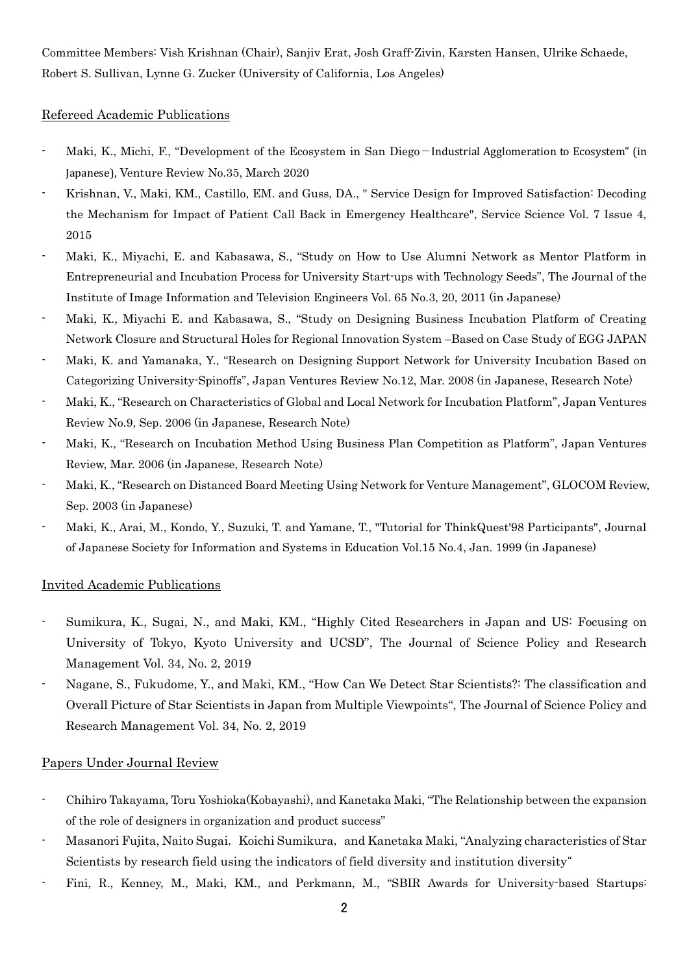Committee Members: Vish Krishnan (Chair), Sanjiv Erat, Josh Graff-Zivin, Karsten Hansen, Ulrike Schaede, Robert S. Sullivan, Lynne G. Zucker (University of California, Los Angeles)

## Refereed Academic Publications

- Maki, K., Michi, F., "Development of the Ecosystem in San Diego−Industrial Agglomeration to Ecosystem" (in Japanese), Venture Review No.35, March 2020
- Krishnan, V., Maki, KM., Castillo, EM. and Guss, DA., " Service Design for Improved Satisfaction: Decoding the Mechanism for Impact of Patient Call Back in Emergency Healthcare", Service Science Vol. 7 Issue 4, 2015
- Maki, K., Miyachi, E. and Kabasawa, S., "Study on How to Use Alumni Network as Mentor Platform in Entrepreneurial and Incubation Process for University Start-ups with Technology Seeds", The Journal of the Institute of Image Information and Television Engineers Vol. 65 No.3, 20, 2011 (in Japanese)
- Maki, K., Miyachi E. and Kabasawa, S., "Study on Designing Business Incubation Platform of Creating Network Closure and Structural Holes for Regional Innovation System –Based on Case Study of EGG JAPAN
- Maki, K. and Yamanaka, Y., "Research on Designing Support Network for University Incubation Based on Categorizing University-Spinoffs", Japan Ventures Review No.12, Mar. 2008 (in Japanese, Research Note)
- Maki, K., "Research on Characteristics of Global and Local Network for Incubation Platform", Japan Ventures Review No.9, Sep. 2006 (in Japanese, Research Note)
- Maki, K., "Research on Incubation Method Using Business Plan Competition as Platform", Japan Ventures Review, Mar. 2006 (in Japanese, Research Note)
- Maki, K., "Research on Distanced Board Meeting Using Network for Venture Management", GLOCOM Review, Sep. 2003 (in Japanese)
- Maki, K., Arai, M., Kondo, Y., Suzuki, T. and Yamane, T., "Tutorial for ThinkQuest'98 Participants", Journal of Japanese Society for Information and Systems in Education Vol.15 No.4, Jan. 1999 (in Japanese)

### Invited Academic Publications

- Sumikura, K., Sugai, N., and Maki, KM., "Highly Cited Researchers in Japan and US: Focusing on University of Tokyo, Kyoto University and UCSD", The Journal of Science Policy and Research Management Vol. 34, No. 2, 2019
- Nagane, S., Fukudome, Y., and Maki, KM., "How Can We Detect Star Scientists?: The classification and Overall Picture of Star Scientists in Japan from Multiple Viewpoints", The Journal of Science Policy and Research Management Vol. 34, No. 2, 2019

## Papers Under Journal Review

- Chihiro Takayama, Toru Yoshioka(Kobayashi), and Kanetaka Maki, "The Relationship between the expansion of the role of designers in organization and product success"
- Masanori Fujita, Naito Sugai, Koichi Sumikura, and Kanetaka Maki, "Analyzing characteristics of Star Scientists by research field using the indicators of field diversity and institution diversity"
- Fini, R., Kenney, M., Maki, KM., and Perkmann, M., "SBIR Awards for University-based Startups: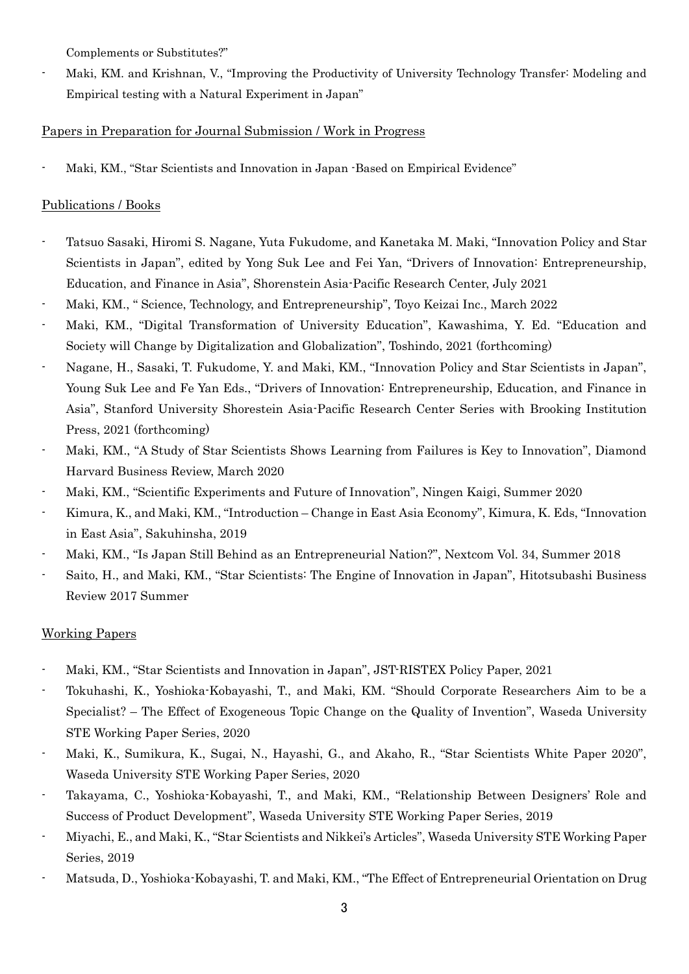Complements or Substitutes?"

Maki, KM. and Krishnan, V., "Improving the Productivity of University Technology Transfer: Modeling and Empirical testing with a Natural Experiment in Japan"

# Papers in Preparation for Journal Submission / Work in Progress

- Maki, KM., "Star Scientists and Innovation in Japan -Based on Empirical Evidence"

# Publications / Books

- Tatsuo Sasaki, Hiromi S. Nagane, Yuta Fukudome, and Kanetaka M. Maki, "Innovation Policy and Star Scientists in Japan", edited by Yong Suk Lee and Fei Yan, "Drivers of Innovation: Entrepreneurship, Education, and Finance in Asia", Shorenstein Asia-Pacific Research Center, July 2021
- Maki, KM., " Science, Technology, and Entrepreneurship", Toyo Keizai Inc., March 2022
- Maki, KM., "Digital Transformation of University Education", Kawashima, Y. Ed. "Education and Society will Change by Digitalization and Globalization", Toshindo, 2021 (forthcoming)
- Nagane, H., Sasaki, T. Fukudome, Y. and Maki, KM., "Innovation Policy and Star Scientists in Japan", Young Suk Lee and Fe Yan Eds., "Drivers of Innovation: Entrepreneurship, Education, and Finance in Asia", Stanford University Shorestein Asia-Pacific Research Center Series with Brooking Institution Press, 2021 (forthcoming)
- Maki, KM., "A Study of Star Scientists Shows Learning from Failures is Key to Innovation", Diamond Harvard Business Review, March 2020
- Maki, KM., "Scientific Experiments and Future of Innovation", Ningen Kaigi, Summer 2020
- Kimura, K., and Maki, KM., "Introduction Change in East Asia Economy", Kimura, K. Eds, "Innovation in East Asia", Sakuhinsha, 2019
- Maki, KM., "Is Japan Still Behind as an Entrepreneurial Nation?", Nextcom Vol. 34, Summer 2018
- Saito, H., and Maki, KM., "Star Scientists: The Engine of Innovation in Japan", Hitotsubashi Business Review 2017 Summer

# Working Papers

- Maki, KM., "Star Scientists and Innovation in Japan", JST-RISTEX Policy Paper, 2021
- Tokuhashi, K., Yoshioka-Kobayashi, T., and Maki, KM. "Should Corporate Researchers Aim to be a Specialist? – The Effect of Exogeneous Topic Change on the Quality of Invention", Waseda University STE Working Paper Series, 2020
- Maki, K., Sumikura, K., Sugai, N., Hayashi, G., and Akaho, R., "Star Scientists White Paper 2020", Waseda University STE Working Paper Series, 2020
- Takayama, C., Yoshioka-Kobayashi, T., and Maki, KM., "Relationship Between Designers' Role and Success of Product Development", Waseda University STE Working Paper Series, 2019
- Miyachi, E., and Maki, K., "Star Scientists and Nikkei's Articles", Waseda University STE Working Paper Series, 2019
- Matsuda, D., Yoshioka-Kobayashi, T. and Maki, KM., "The Effect of Entrepreneurial Orientation on Drug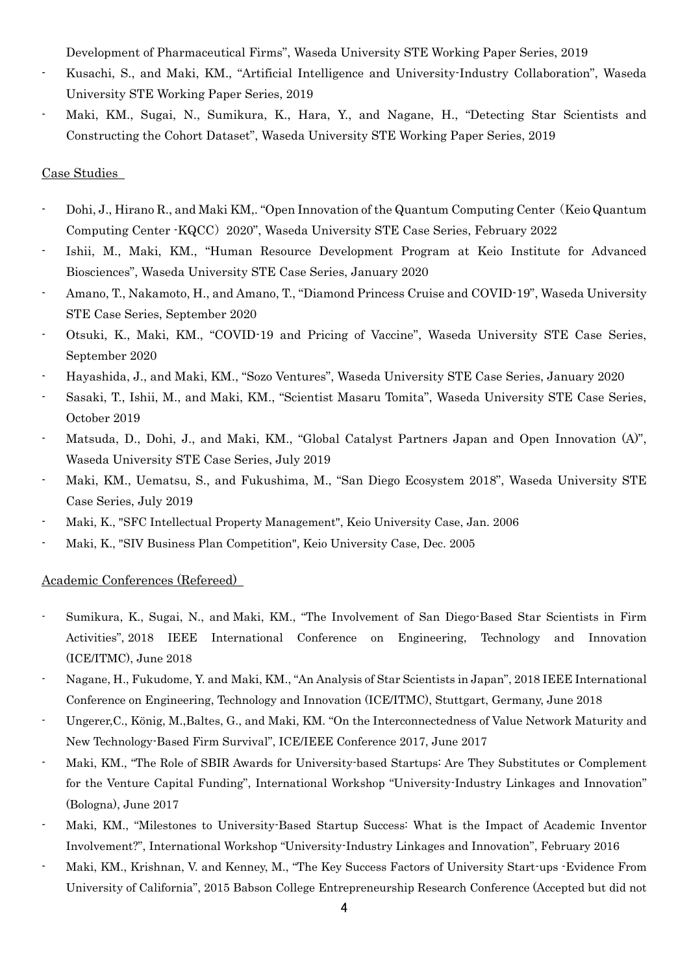Development of Pharmaceutical Firms", Waseda University STE Working Paper Series, 2019

- Kusachi, S., and Maki, KM., "Artificial Intelligence and University-Industry Collaboration", Waseda University STE Working Paper Series, 2019
- Maki, KM., Sugai, N., Sumikura, K., Hara, Y., and Nagane, H., "Detecting Star Scientists and Constructing the Cohort Dataset", Waseda University STE Working Paper Series, 2019

### Case Studies

- Dohi, J., Hirano R., and Maki KM,. "Open Innovation of the Quantum Computing Center(Keio Quantum Computing Center -KQCC)2020", Waseda University STE Case Series, February 2022
- Ishii, M., Maki, KM., "Human Resource Development Program at Keio Institute for Advanced Biosciences", Waseda University STE Case Series, January 2020
- Amano, T., Nakamoto, H., and Amano, T., "Diamond Princess Cruise and COVID-19", Waseda University STE Case Series, September 2020
- Otsuki, K., Maki, KM., "COVID-19 and Pricing of Vaccine", Waseda University STE Case Series, September 2020
- Hayashida, J., and Maki, KM., "Sozo Ventures", Waseda University STE Case Series, January 2020
- Sasaki, T., Ishii, M., and Maki, KM., "Scientist Masaru Tomita", Waseda University STE Case Series, October 2019
- Matsuda, D., Dohi, J., and Maki, KM., "Global Catalyst Partners Japan and Open Innovation (A)", Waseda University STE Case Series, July 2019
- Maki, KM., Uematsu, S., and Fukushima, M., "San Diego Ecosystem 2018", Waseda University STE Case Series, July 2019
- Maki, K., "SFC Intellectual Property Management", Keio University Case, Jan. 2006
- Maki, K., "SIV Business Plan Competition", Keio University Case, Dec. 2005

#### Academic Conferences (Refereed)

- Sumikura, K., Sugai, N., and Maki, KM., "The Involvement of San Diego-Based Star Scientists in Firm Activities", 2018 IEEE International Conference on Engineering, Technology and Innovation (ICE/ITMC), June 2018
- Nagane, H., Fukudome, Y. and Maki, KM., "An Analysis of Star Scientists in Japan", 2018 IEEE International Conference on Engineering, Technology and Innovation (ICE/ITMC), Stuttgart, Germany, June 2018
- Ungerer,C., König, M.,Baltes, G., and Maki, KM. "On the Interconnectedness of Value Network Maturity and New Technology-Based Firm Survival", ICE/IEEE Conference 2017, June 2017
- Maki, KM., "The Role of SBIR Awards for University-based Startups: Are They Substitutes or Complement for the Venture Capital Funding", International Workshop "University-Industry Linkages and Innovation" (Bologna), June 2017
- Maki, KM., "Milestones to University-Based Startup Success: What is the Impact of Academic Inventor Involvement?", International Workshop "University-Industry Linkages and Innovation", February 2016
- Maki, KM., Krishnan, V. and Kenney, M., "The Key Success Factors of University Start-ups -Evidence From University of California", 2015 Babson College Entrepreneurship Research Conference (Accepted but did not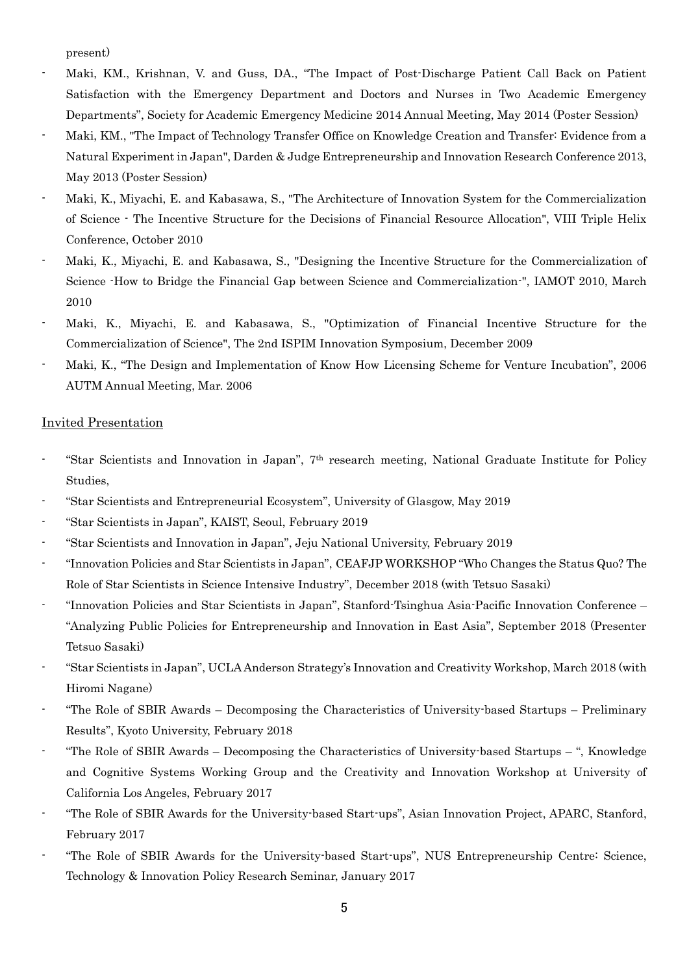present)

- Maki, KM., Krishnan, V. and Guss, DA., "The Impact of Post-Discharge Patient Call Back on Patient Satisfaction with the Emergency Department and Doctors and Nurses in Two Academic Emergency Departments", Society for Academic Emergency Medicine 2014 Annual Meeting, May 2014 (Poster Session)
- Maki, KM., "The Impact of Technology Transfer Office on Knowledge Creation and Transfer: Evidence from a Natural Experiment in Japan", Darden & Judge Entrepreneurship and Innovation Research Conference 2013, May 2013 (Poster Session)
- Maki, K., Miyachi, E. and Kabasawa, S., "The Architecture of Innovation System for the Commercialization of Science - The Incentive Structure for the Decisions of Financial Resource Allocation", VIII Triple Helix Conference, October 2010
- Maki, K., Miyachi, E. and Kabasawa, S., "Designing the Incentive Structure for the Commercialization of Science -How to Bridge the Financial Gap between Science and Commercialization-", IAMOT 2010, March 2010
- Maki, K., Miyachi, E. and Kabasawa, S., "Optimization of Financial Incentive Structure for the Commercialization of Science", The 2nd ISPIM Innovation Symposium, December 2009
- Maki, K., "The Design and Implementation of Know How Licensing Scheme for Venture Incubation", 2006 AUTM Annual Meeting, Mar. 2006

#### Invited Presentation

- "Star Scientists and Innovation in Japan", 7<sup>th</sup> research meeting, National Graduate Institute for Policy Studies,
- "Star Scientists and Entrepreneurial Ecosystem", University of Glasgow, May 2019
- "Star Scientists in Japan", KAIST, Seoul, February 2019
- "Star Scientists and Innovation in Japan", Jeju National University, February 2019
- "Innovation Policies and Star Scientists in Japan", CEAFJP WORKSHOP "Who Changes the Status Quo? The Role of Star Scientists in Science Intensive Industry", December 2018 (with Tetsuo Sasaki)
- "Innovation Policies and Star Scientists in Japan", Stanford-Tsinghua Asia-Pacific Innovation Conference "Analyzing Public Policies for Entrepreneurship and Innovation in East Asia", September 2018 (Presenter Tetsuo Sasaki)
- "Star Scientists in Japan", UCLA Anderson Strategy's Innovation and Creativity Workshop, March 2018 (with Hiromi Nagane)
- "The Role of SBIR Awards Decomposing the Characteristics of University-based Startups Preliminary Results", Kyoto University, February 2018
- "The Role of SBIR Awards Decomposing the Characteristics of University-based Startups ", Knowledge and Cognitive Systems Working Group and the Creativity and Innovation Workshop at University of California Los Angeles, February 2017
- "The Role of SBIR Awards for the University-based Start-ups", Asian Innovation Project, APARC, Stanford, February 2017
- "The Role of SBIR Awards for the University-based Start-ups", NUS Entrepreneurship Centre: Science, Technology & Innovation Policy Research Seminar, January 2017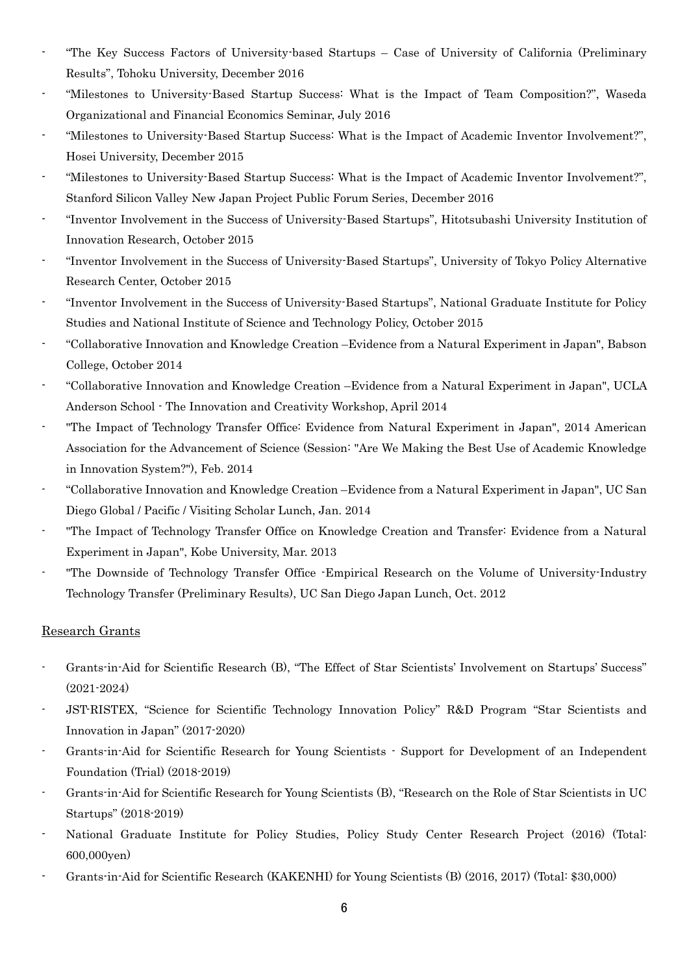- "The Key Success Factors of University-based Startups Case of University of California (Preliminary Results", Tohoku University, December 2016
- "Milestones to University-Based Startup Success: What is the Impact of Team Composition?", Waseda Organizational and Financial Economics Seminar, July 2016
- "Milestones to University-Based Startup Success: What is the Impact of Academic Inventor Involvement?", Hosei University, December 2015
- "Milestones to University-Based Startup Success: What is the Impact of Academic Inventor Involvement?", Stanford Silicon Valley New Japan Project Public Forum Series, December 2016
- "Inventor Involvement in the Success of University-Based Startups", Hitotsubashi University Institution of Innovation Research, October 2015
- "Inventor Involvement in the Success of University-Based Startups", University of Tokyo Policy Alternative Research Center, October 2015
- "Inventor Involvement in the Success of University-Based Startups", National Graduate Institute for Policy Studies and National Institute of Science and Technology Policy, October 2015
- "Collaborative Innovation and Knowledge Creation –Evidence from a Natural Experiment in Japan", Babson College, October 2014
- "Collaborative Innovation and Knowledge Creation –Evidence from a Natural Experiment in Japan", UCLA Anderson School - The Innovation and Creativity Workshop, April 2014
- "The Impact of Technology Transfer Office: Evidence from Natural Experiment in Japan", 2014 American Association for the Advancement of Science (Session: "Are We Making the Best Use of Academic Knowledge in Innovation System?"), Feb. 2014
- "Collaborative Innovation and Knowledge Creation –Evidence from a Natural Experiment in Japan", UC San Diego Global / Pacific / Visiting Scholar Lunch, Jan. 2014
- "The Impact of Technology Transfer Office on Knowledge Creation and Transfer: Evidence from a Natural Experiment in Japan", Kobe University, Mar. 2013
- "The Downside of Technology Transfer Office Empirical Research on the Volume of University-Industry Technology Transfer (Preliminary Results), UC San Diego Japan Lunch, Oct. 2012

## Research Grants

- Grants-in-Aid for Scientific Research (B), "The Effect of Star Scientists' Involvement on Startups' Success" (2021-2024)
- JST-RISTEX, "Science for Scientific Technology Innovation Policy" R&D Program "Star Scientists and Innovation in Japan" (2017-2020)
- Grants-in-Aid for Scientific Research for Young Scientists Support for Development of an Independent Foundation (Trial) (2018-2019)
- Grants-in-Aid for Scientific Research for Young Scientists (B), "Research on the Role of Star Scientists in UC Startups" (2018-2019)
- National Graduate Institute for Policy Studies, Policy Study Center Research Project (2016) (Total: 600,000yen)
- Grants-in-Aid for Scientific Research (KAKENHI) for Young Scientists (B) (2016, 2017) (Total: \$30,000)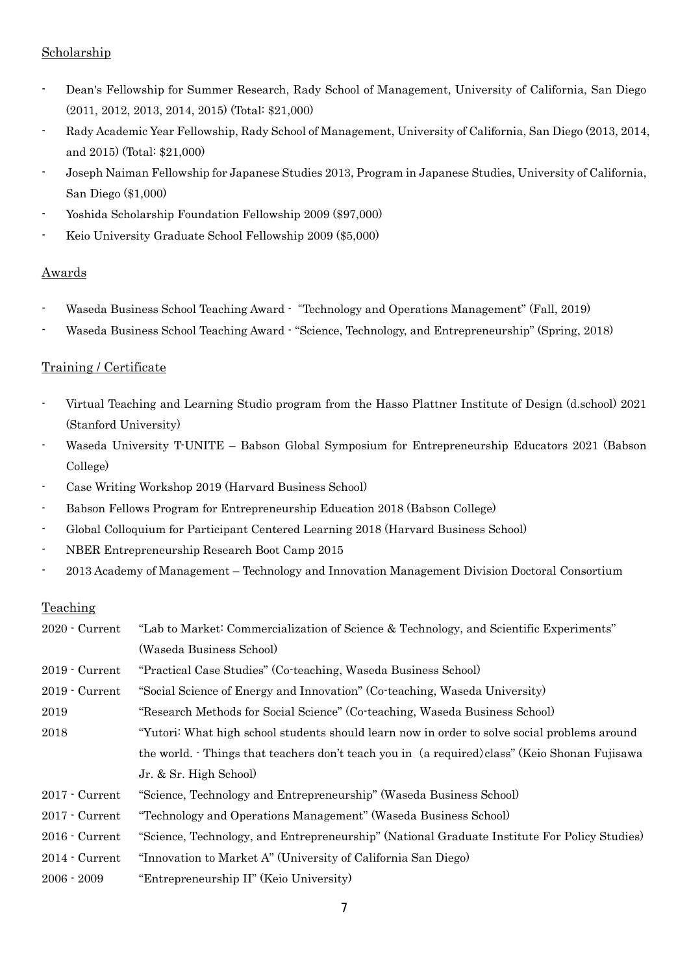# Scholarship

- Dean's Fellowship for Summer Research, Rady School of Management, University of California, San Diego (2011, 2012, 2013, 2014, 2015) (Total: \$21,000)
- Rady Academic Year Fellowship, Rady School of Management, University of California, San Diego (2013, 2014, and 2015) (Total: \$21,000)
- Joseph Naiman Fellowship for Japanese Studies 2013, Program in Japanese Studies, University of California, San Diego (\$1,000)
- Yoshida Scholarship Foundation Fellowship 2009 (\$97,000)
- Keio University Graduate School Fellowship 2009 (\$5,000)

# Awards

- Waseda Business School Teaching Award "Technology and Operations Management" (Fall, 2019)
- Waseda Business School Teaching Award "Science, Technology, and Entrepreneurship" (Spring, 2018)

# Training / Certificate

- Virtual Teaching and Learning Studio program from the Hasso Plattner Institute of Design (d.school) 2021 (Stanford University)
- Waseda University T-UNITE Babson Global Symposium for Entrepreneurship Educators 2021 (Babson College)
- Case Writing Workshop 2019 (Harvard Business School)
- Babson Fellows Program for Entrepreneurship Education 2018 (Babson College)
- Global Colloquium for Participant Centered Learning 2018 (Harvard Business School)
- NBER Entrepreneurship Research Boot Camp 2015
- 2013 Academy of Management Technology and Innovation Management Division Doctoral Consortium

## Teaching

| $2020 -$ Current       | "Lab to Market: Commercialization of Science & Technology, and Scientific Experiments"       |
|------------------------|----------------------------------------------------------------------------------------------|
|                        | (Waseda Business School)                                                                     |
| $2019 -$ Current       | "Practical Case Studies" (Co-teaching, Waseda Business School)                               |
| $2019 -$ Current       | "Social Science of Energy and Innovation" (Co-teaching, Waseda University)                   |
| 2019                   | "Research Methods for Social Science" (Co-teaching, Waseda Business School)                  |
| 2018                   | "Yutori: What high school students should learn now in order to solve social problems around |
|                        | the world. Things that teachers don't teach you in (a required) class" (Keio Shonan Fujisawa |
|                        | Jr. & Sr. High School                                                                        |
| $2017 -$ Current       | "Science, Technology and Entrepreneurship" (Waseda Business School)                          |
| 2017 - Current         | "Technology and Operations Management" (Waseda Business School)                              |
| $2016$ $\cdot$ Current | "Science, Technology, and Entrepreneurship" (National Graduate Institute For Policy Studies) |
| $2014$ $\cdot$ Current | "Innovation to Market A" (University of California San Diego)                                |
| $2006 - 2009$          | "Entrepreneurship II" (Keio University)                                                      |